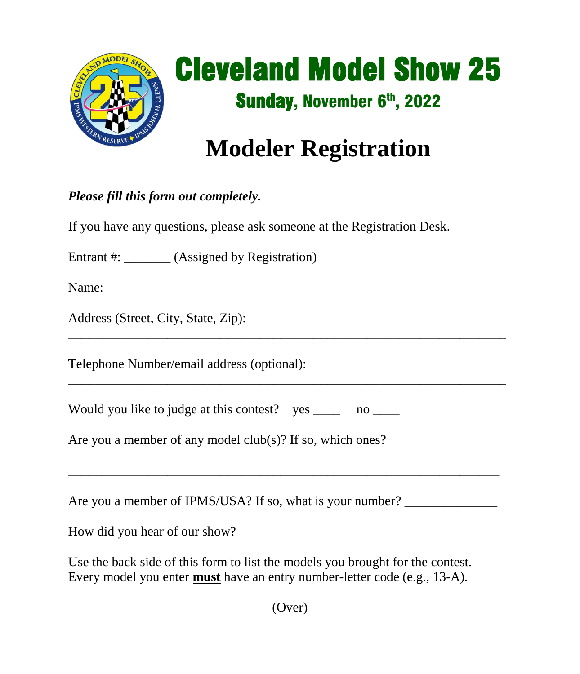

## Cleveland Model Show 25 Sunday, November 6<sup>th</sup>, 2022

 $\frac{1}{2}$  ,  $\frac{1}{2}$  ,  $\frac{1}{2}$  ,  $\frac{1}{2}$  ,  $\frac{1}{2}$  ,  $\frac{1}{2}$  ,  $\frac{1}{2}$  ,  $\frac{1}{2}$  ,  $\frac{1}{2}$  ,  $\frac{1}{2}$  ,  $\frac{1}{2}$  ,  $\frac{1}{2}$  ,  $\frac{1}{2}$  ,  $\frac{1}{2}$  ,  $\frac{1}{2}$  ,  $\frac{1}{2}$  ,  $\frac{1}{2}$  ,  $\frac{1}{2}$  ,  $\frac{1$ 

## **Modeler Registration**

## *Please fill this form out completely.*

If you have any questions, please ask someone at the Registration Desk.

Entrant #:  $(Assignment by Regibration)$ 

Name:

Address (Street, City, State, Zip):

Telephone Number/email address (optional):

Would you like to judge at this contest? yes no

Are you a member of any model club(s)? If so, which ones?

Are you a member of IPMS/USA? If so, what is your number? \_\_\_\_\_\_\_\_\_\_\_\_\_\_\_\_\_\_\_\_\_\_

How did you hear of our show? \_\_\_\_\_\_\_\_\_\_\_\_\_\_\_\_\_\_\_\_\_\_\_\_\_\_\_\_\_\_\_\_\_\_\_\_\_\_

\_\_\_\_\_\_\_\_\_\_\_\_\_\_\_\_\_\_\_\_\_\_\_\_\_\_\_\_\_\_\_\_\_\_\_\_\_\_\_\_\_\_\_\_\_\_\_\_\_\_\_\_\_\_\_\_\_\_\_\_\_\_\_\_\_

 $\overline{\phantom{a}}$  , and the contribution of the contribution of the contribution of the contribution of the contribution of the contribution of the contribution of the contribution of the contribution of the contribution of the

Use the back side of this form to list the models you brought for the contest. Every model you enter **must** have an entry number-letter code (e.g., 13-A).

(Over)